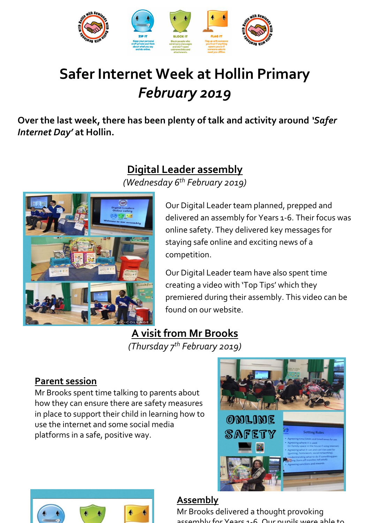

# **Safer Internet Week at Hollin Primary** *February 2019*

**Over the last week, there has been plenty of talk and activity around** *'Safer Internet Day'* **at Hollin.** 

## **Digital Leader assembly**

*(Wednesday 6th February 2019)*



Our Digital Leader team planned, prepped and delivered an assembly for Years 1-6. Their focus was online safety. They delivered key messages for staying safe online and exciting news of a competition.

Our Digital Leader team have also spent time creating a video with 'Top Tips' which they premiered during their assembly. This video can be found on our website.

## **A visit from Mr Brooks**

*(Thursday 7th February 2019)*

### **Parent session**

Mr Brooks spent time talking to parents about how they can ensure there are safety measures in place to support their child in learning how to use the internet and some social media platforms in a safe, positive way.





#### **Assembly**

Mr Brooks delivered a thought provoking assembly for Yoars 1-6. Our pupils were able to